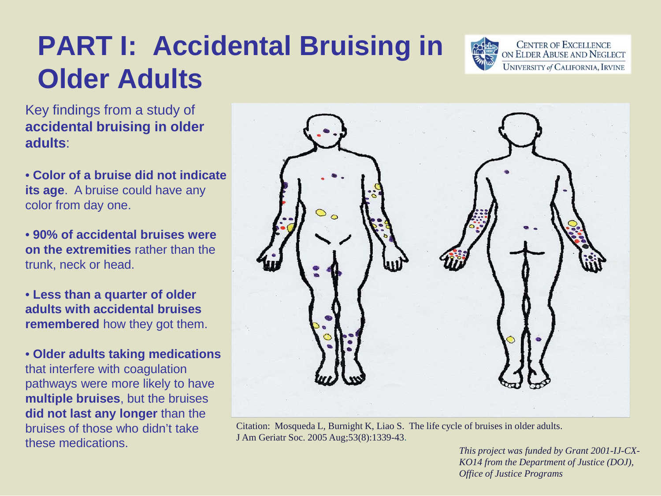### **PART I: Accidental Bruising in Older Adults**



Key findings from a study of **accidental bruising in older adults**:

• **Color of a bruise did not indicate its age**. A bruise could have any color from day one.

• **90% of accidental bruises were on the extremities** rather than the trunk, neck or head.

• **Less than a quarter of older adults with accidental bruises remembered** how they got them.

• **Older adults taking medications**  that interfere with coagulation pathways were more likely to have **multiple bruises**, but the bruises **did not last any longer** than the bruises of those who didn't take these medications.<br>This project was funded by Grant 2001-IJ-CX-



Citation: Mosqueda L, Burnight K, Liao S. The life cycle of bruises in older adults. J Am Geriatr Soc. 2005 Aug;53(8):1339-43.

> *KO14 from the Department of Justice (DOJ), Office of Justice Programs*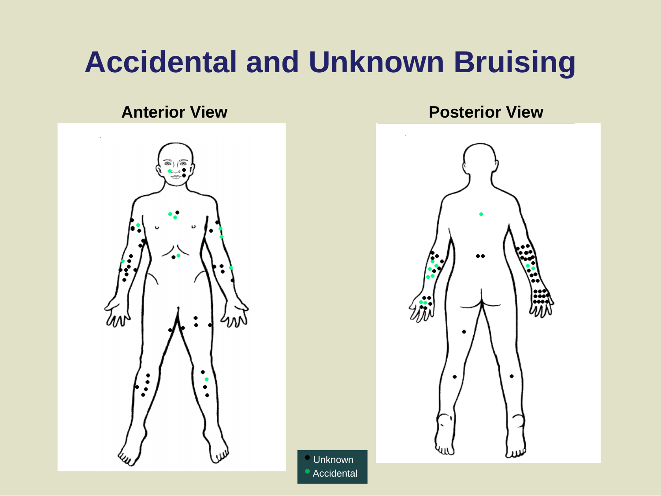# **Accidental and Unknown Bruising**



**Anterior View Posterior View**



**•** Unknown **•** Accidental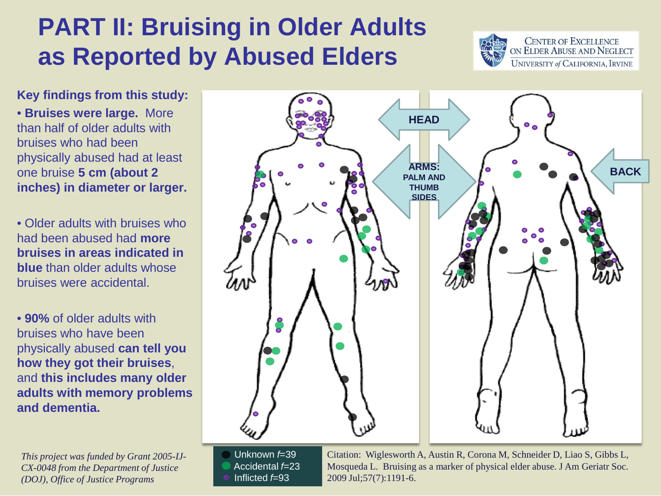#### **PART II: Bruising in Older Adults as Reported by Abused Elders**



**Key findings from this study:**

• **Bruises were large.** More than half of older adults with bruises who had been physically abused had at least one bruise **5 cm (about 2 inches) in diameter or larger.** 

• Older adults with bruises who had been abused had **more bruises in areas indicated in blue** than older adults whose bruises were accidental.

• **90%** of older adults with bruises who have been physically abused **can tell you how they got their bruises**, and **this includes many older adults with memory problems and dementia.** 

*This project was funded by Grant 2005-IJ-CX-0048 from the Department of Justice (DOJ), Office of Justice Programs*



 Unknown *f*=39 Accidental *f*=23 Inflicted *f*=93

Citation: Wiglesworth A, Austin R, Corona M, Schneider D, Liao S, Gibbs L, Mosqueda L. Bruising as a marker of physical elder abuse. J Am Geriatr Soc. 2009 Jul;57(7):1191-6.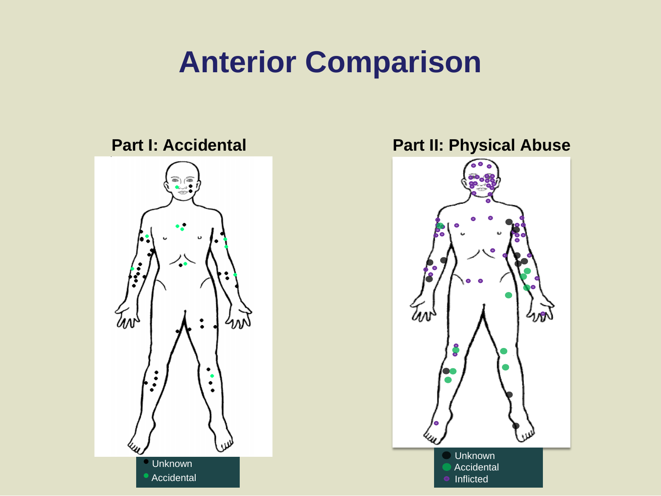# **Anterior Comparison**



#### **Part I: Accidental Part II: Physical Abuse**